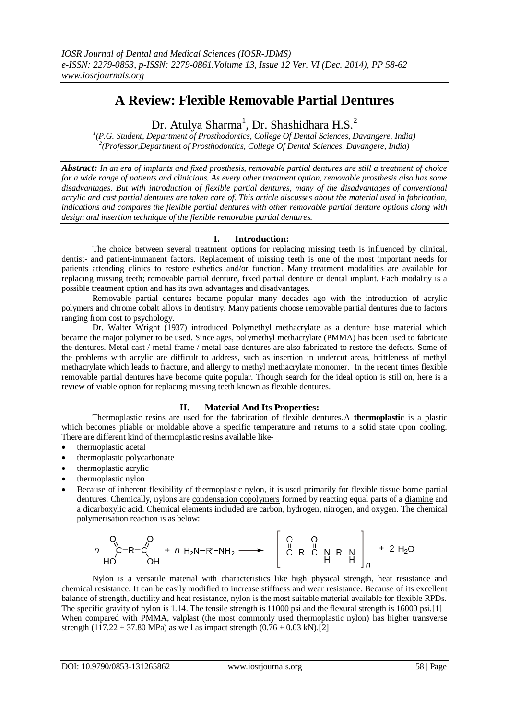# **A Review: Flexible Removable Partial Dentures**

Dr. Atulya Sharma<sup>1</sup>, Dr. Shashidhara H.S.<sup>2</sup>

*1 (P.G. Student, Department of Prosthodontics, College Of Dental Sciences, Davangere, India) 2 (Professor,Department of Prosthodontics, College Of Dental Sciences, Davangere, India)*

*Abstract: In an era of implants and fixed prosthesis, removable partial dentures are still a treatment of choice for a wide range of patients and clinicians. As every other treatment option, removable prosthesis also has some disadvantages. But with introduction of flexible partial dentures, many of the disadvantages of conventional acrylic and cast partial dentures are taken care of. This article discusses about the material used in fabrication, indications and compares the flexible partial dentures with other removable partial denture options along with design and insertion technique of the flexible removable partial dentures.* 

#### **I. Introduction:**

The choice between several treatment options for replacing missing teeth is influenced by clinical, dentist- and patient-immanent factors. Replacement of missing teeth is one of the most important needs for patients attending clinics to restore esthetics and/or function. Many treatment modalities are available for replacing missing teeth; removable partial denture, fixed partial denture or dental implant. Each modality is a possible treatment option and has its own advantages and disadvantages.

Removable partial dentures became popular many decades ago with the introduction of acrylic polymers and chrome cobalt alloys in dentistry. Many patients choose removable partial dentures due to factors ranging from cost to psychology.

Dr. Walter Wright (1937) introduced Polymethyl methacrylate as a denture base material which became the major polymer to be used. Since ages, polymethyl methacrylate (PMMA) has been used to fabricate the dentures. Metal cast / metal frame / metal base dentures are also fabricated to restore the defects. Some of the problems with acrylic are difficult to address, such as insertion in undercut areas, brittleness of methyl methacrylate which leads to fracture, and allergy to methyl methacrylate monomer. In the recent times flexible removable partial dentures have become quite popular. Though search for the ideal option is still on, here is a review of viable option for replacing missing teeth known as flexible dentures.

# **II. Material And Its Properties:**

Thermoplastic resins are used for the fabrication of flexible dentures.A **thermoplastic** is a plastic which becomes pliable or moldable above a specific temperature and returns to a solid state upon cooling. There are different kind of thermoplastic resins available like-

- thermoplastic acetal
- thermoplastic polycarbonate
- thermoplastic acrylic
- thermoplastic nylon
- Because of inherent flexibility of thermoplastic nylon, it is used primarily for flexible tissue borne partial dentures. Chemically, nylons are [condensation copolymers](http://en.wikipedia.org/wiki/Condensation_polymer) formed by reacting equal parts of a [diamine](http://en.wikipedia.org/wiki/Diamine) and a [dicarboxylic acid.](http://en.wikipedia.org/wiki/Dicarboxylic_acid) [Chemical elements](http://en.wikipedia.org/wiki/Chemical_element) included are [carbon,](http://en.wikipedia.org/wiki/Carbon) [hydrogen,](http://en.wikipedia.org/wiki/Hydrogen) [nitrogen,](http://en.wikipedia.org/wiki/Nitrogen) and [oxygen.](http://en.wikipedia.org/wiki/Oxygen) The chemical [polymerisation reaction is as below:](http://upload.wikimedia.org/wikipedia/commons/1/16/Condensation_polymerization_diacid_diamine.svg)

$$
\begin{array}{ccc}\nO & O & O \\
n & C-R-C' & + n H_2N-R'-NH_2 \longrightarrow & -C-R-C-N-R'-N\\
HO & OH & & & \n\end{array} + 2 H_2O
$$

Nylon is a versatile material with characteristics like high physical strength, heat resistance and chemical resistance. It can be easily modified to increase stiffness and wear resistance. Because of its excellent balance of strength, ductility and heat resistance, nylon is the most suitable material available for flexible RPDs. The specific gravity of nylon is 1.14. The tensile strength is 11000 psi and the flexural strength is 16000 psi.[1] When compared with PMMA, valplast (the most commonly used thermoplastic nylon) has higher transverse strength (117.22  $\pm$  37.80 MPa) as well as impact strength (0.76  $\pm$  0.03 kN).[2]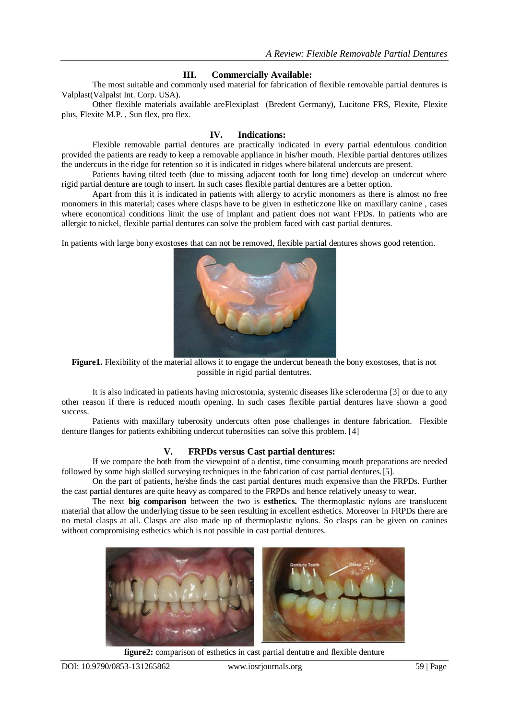#### **III. Commercially Available:**

The most suitable and commonly used material for fabrication of flexible removable partial dentures is Valplast(Valpalst Int. Corp. USA).

Other flexible materials available areFlexiplast (Bredent Germany), Lucitone FRS, Flexite, Flexite plus, Flexite M.P. , Sun flex, pro flex.

#### **IV. Indications:**

Flexible removable partial dentures are practically indicated in every partial edentulous condition provided the patients are ready to keep a removable appliance in his/her mouth. Flexible partial dentures utilizes the undercuts in the ridge for retention so it is indicated in ridges where bilateral undercuts are present.

Patients having tilted teeth (due to missing adjacent tooth for long time) develop an undercut where rigid partial denture are tough to insert. In such cases flexible partial dentures are a better option.

Apart from this it is indicated in patients with allergy to acrylic monomers as there is almost no free monomers in this material; cases where clasps have to be given in estheticzone like on maxillary canine , cases where economical conditions limit the use of implant and patient does not want FPDs. In patients who are allergic to nickel, flexible partial dentures can solve the problem faced with cast partial dentures.

In patients with large bony exostoses that can not be removed, flexible partial dentures shows good retention.



**Figure1.** Flexibility of the material allows it to engage the undercut beneath the bony exostoses, that is not possible in rigid partial dentutres.

It is also indicated in patients having microstomia, systemic diseases like scleroderma [3] or due to any other reason if there is reduced mouth opening. In such cases flexible partial dentures have shown a good success.

Patients with maxillary tuberosity undercuts often pose challenges in denture fabrication. Flexible denture flanges for patients exhibiting undercut tuberosities can solve this problem. [4]

#### **V. FRPDs versus Cast partial dentures:**

If we compare the both from the viewpoint of a dentist, time consuming mouth preparations are needed followed by some high skilled surveying techniques in the fabrication of cast partial dentures.[5].

On the part of patients, he/she finds the cast partial dentures much expensive than the FRPDs. Further the cast partial dentures are quite heavy as compared to the FRPDs and hence relatively uneasy to wear.

The next **big comparison** between the two is **esthetics.** The thermoplastic nylons are translucent material that allow the underlying tissue to be seen resulting in excellent esthetics. Moreover in FRPDs there are no metal clasps at all. Clasps are also made up of thermoplastic nylons. So clasps can be given on canines without compromising esthetics which is not possible in cast partial dentures.



**figure2:** comparison of esthetics in cast partial dentutre and flexible denture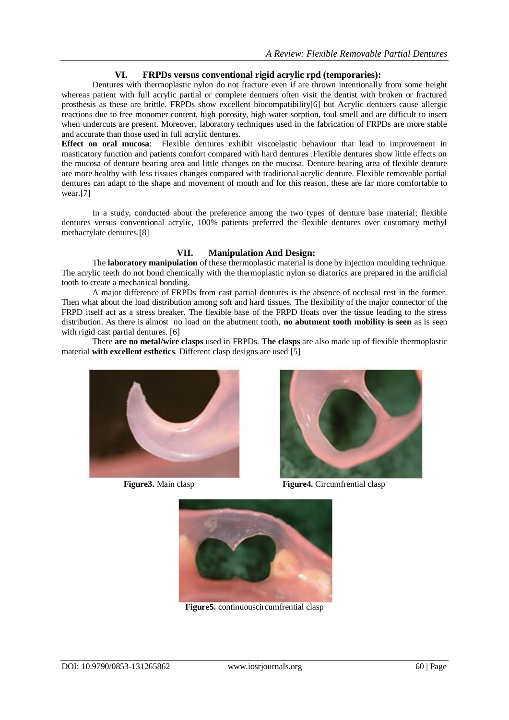# **VI. FRPDs versus conventional rigid acrylic rpd (temporaries):**

Dentures with thermoplastic nylon do not fracture even if are thrown intentionally from some height whereas patient with full acrylic partial or complete dentuers often visit the dentist with broken or fractured prosthesis as these are brittle. FRPDs show excellent biocompatibility[6] but Acrylic dentuers cause allergic reactions due to free monomer content, high porosity, high water sorption, foul smell and are difficult to insert when undercuts are present. Moreover, laboratory techniques used in the fabrication of FRPDs are more stable and accurate than those used in full acrylic dentures.

**Effect on oral mucosa**: Flexible dentures exhibit viscoelastic behaviour that lead to improvement in masticatory function and patients comfort compared with hard dentures .Flexible dentures show little effects on the mucosa of denture bearing area and little changes on the mucosa. Denture bearing area of flexible denture are more healthy with less tissues changes compared with traditional acrylic denture. Flexible removable partial dentures can adapt to the shape and movement of mouth and for this reason, these are far more comfortable to wear.[7]

In a study, conducted about the preference among the two types of denture base material; flexible dentures versus conventional acrylic, 100% patients preferred the flexible dentures over customary methyl methacrylate dentures.[8]

# **VII. Manipulation And Design:**

The **laboratory manipulation** of these thermoplastic material is done by injection moulding technique. The acrylic teeth do not bond chemically with the thermoplastic nylon so diatorics are prepared in the artificial tooth to create a mechanical bonding.

A major difference of FRPDs from cast partial dentures is the absence of occlusal rest in the former. Then what about the load distribution among soft and hard tissues. The flexibility of the major connector of the FRPD itself act as a stress breaker. The flexible base of the FRPD floats over the tissue leading to the stress distribution. As there is almost no load on the abutment tooth, **no abutment tooth mobility is seen** as is seen with rigid cast partial dentures. [6]

There **are no metal/wire clasps** used in FRPDs. **The clasps** are also made up of flexible thermoplastic material **with excellent esthetics**. Different clasp designs are used [5]





**Figure 3.** Main clasp **Figure 4.** Circumfrential clasp



**Figure5.** continuouscircumfrential clasp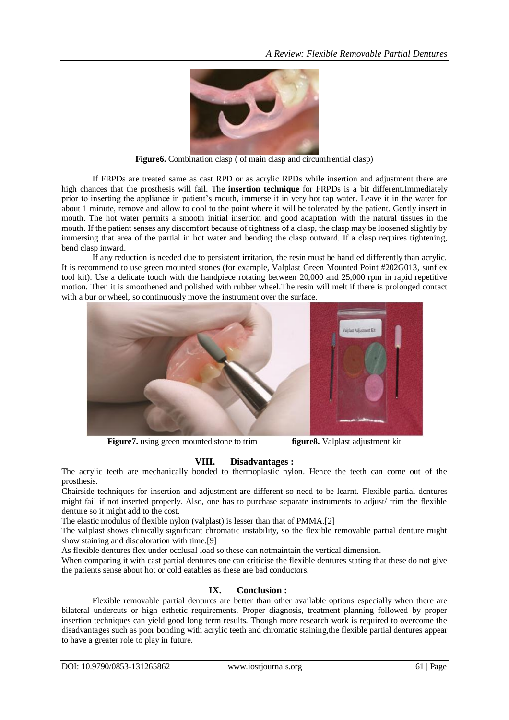

**Figure6.** Combination clasp ( of main clasp and circumfrential clasp)

If FRPDs are treated same as cast RPD or as acrylic RPDs while insertion and adjustment there are high chances that the prosthesis will fail. The **insertion technique** for FRPDs is a bit different**.**Immediately prior to inserting the appliance in patient's mouth, immerse it in very hot tap water. Leave it in the water for about 1 minute, remove and allow to cool to the point where it will be tolerated by the patient. Gently insert in mouth. The hot water permits a smooth initial insertion and good adaptation with the natural tissues in the mouth. If the patient senses any discomfort because of tightness of a clasp, the clasp may be loosened slightly by immersing that area of the partial in hot water and bending the clasp outward. If a clasp requires tightening, bend clasp inward.

If any reduction is needed due to persistent irritation, the resin must be handled differently than acrylic. It is recommend to use green mounted stones (for example, Valplast Green Mounted Point #202G013, sunflex tool kit). Use a delicate touch with the handpiece rotating between 20,000 and 25,000 rpm in rapid repetitive motion. Then it is smoothened and polished with rubber wheel.The resin will melt if there is prolonged contact with a bur or wheel, so continuously move the instrument over the surface.



**Figure7.** using green mounted stone to trim **figure8.** Valplast adjustment kit

# **VIII. Disadvantages :**

The acrylic teeth are mechanically bonded to thermoplastic nylon. Hence the teeth can come out of the prosthesis.

Chairside techniques for insertion and adjustment are different so need to be learnt. Flexible partial dentures might fail if not inserted properly. Also, one has to purchase separate instruments to adjust/ trim the flexible denture so it might add to the cost.

The elastic modulus of flexible nylon (valplast) is lesser than that of PMMA.[2]

The valplast shows clinically significant chromatic instability, so the flexible removable partial denture might show staining and discoloration with time.[9]

As flexible dentures flex under occlusal load so these can notmaintain the vertical dimension.

When comparing it with cast partial dentures one can criticise the flexible dentures stating that these do not give the patients sense about hot or cold eatables as these are bad conductors.

# **IX. Conclusion :**

Flexible removable partial dentures are better than other available options especially when there are bilateral undercuts or high esthetic requirements. Proper diagnosis, treatment planning followed by proper insertion techniques can yield good long term results. Though more research work is required to overcome the disadvantages such as poor bonding with acrylic teeth and chromatic staining,the flexible partial dentures appear to have a greater role to play in future.